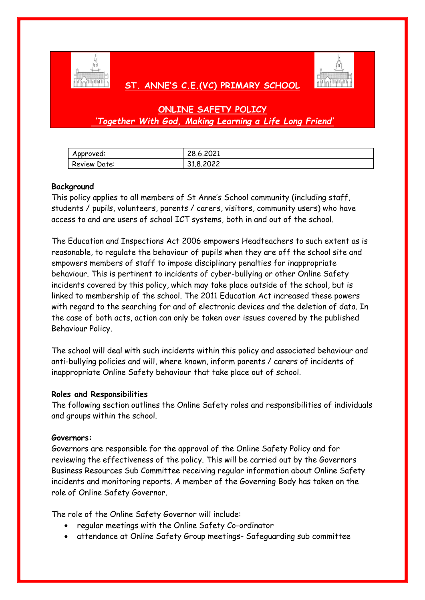

# **ST. ANNE'S C.E.(VC) PRIMARY SCHOOL**



# **ONLINE SAFETY POLICY** *'Together With God, Making Learning a Life Long Friend'*

| Approved:           | 28.6.2021 |
|---------------------|-----------|
| <b>Review Date:</b> | 31.8.2022 |

## **Background**

This policy applies to all members of St Anne's School community (including staff, students / pupils, volunteers, parents / carers, visitors, community users) who have access to and are users of school ICT systems, both in and out of the school.

The Education and Inspections Act 2006 empowers Headteachers to such extent as is reasonable, to regulate the behaviour of pupils when they are off the school site and empowers members of staff to impose disciplinary penalties for inappropriate behaviour. This is pertinent to incidents of cyber-bullying or other Online Safety incidents covered by this policy, which may take place outside of the school, but is linked to membership of the school. The 2011 Education Act increased these powers with regard to the searching for and of electronic devices and the deletion of data. In the case of both acts, action can only be taken over issues covered by the published Behaviour Policy.

The school will deal with such incidents within this policy and associated behaviour and anti-bullying policies and will, where known, inform parents / carers of incidents of inappropriate Online Safety behaviour that take place out of school.

#### **Roles and Responsibilities**

The following section outlines the Online Safety roles and responsibilities of individuals and groups within the school.

#### **Governors:**

Governors are responsible for the approval of the Online Safety Policy and for reviewing the effectiveness of the policy. This will be carried out by the Governors Business Resources Sub Committee receiving regular information about Online Safety incidents and monitoring reports. A member of the Governing Body has taken on the role of Online Safety Governor.

The role of the Online Safety Governor will include:

- regular meetings with the Online Safety Co-ordinator
- attendance at Online Safety Group meetings- Safeguarding sub committee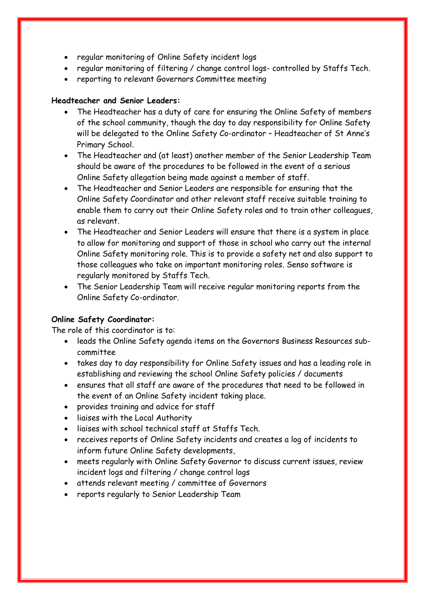- regular monitoring of Online Safety incident logs
- regular monitoring of filtering / change control logs- controlled by Staffs Tech.
- reporting to relevant Governors Committee meeting

## **Headteacher and Senior Leaders:**

- The Headteacher has a duty of care for ensuring the Online Safety of members of the school community, though the day to day responsibility for Online Safety will be delegated to the Online Safety Co-ordinator – Headteacher of St Anne's Primary School.
- The Headteacher and (at least) another member of the Senior Leadership Team should be aware of the procedures to be followed in the event of a serious Online Safety allegation being made against a member of staff.
- The Headteacher and Senior Leaders are responsible for ensuring that the Online Safety Coordinator and other relevant staff receive suitable training to enable them to carry out their Online Safety roles and to train other colleagues, as relevant.
- The Headteacher and Senior Leaders will ensure that there is a system in place to allow for monitoring and support of those in school who carry out the internal Online Safety monitoring role. This is to provide a safety net and also support to those colleagues who take on important monitoring roles. Senso software is regularly monitored by Staffs Tech.
- The Senior Leadership Team will receive regular monitoring reports from the Online Safety Co-ordinator.

# **Online Safety Coordinator:**

The role of this coordinator is to:

- leads the Online Safety agenda items on the Governors Business Resources subcommittee
- takes day to day responsibility for Online Safety issues and has a leading role in establishing and reviewing the school Online Safety policies / documents
- ensures that all staff are aware of the procedures that need to be followed in the event of an Online Safety incident taking place.
- provides training and advice for staff
- liaises with the Local Authority
- liaises with school technical staff at Staffs Tech.
- receives reports of Online Safety incidents and creates a log of incidents to inform future Online Safety developments,
- meets regularly with Online Safety Governor to discuss current issues, review incident logs and filtering / change control logs
- attends relevant meeting / committee of Governors
- reports regularly to Senior Leadership Team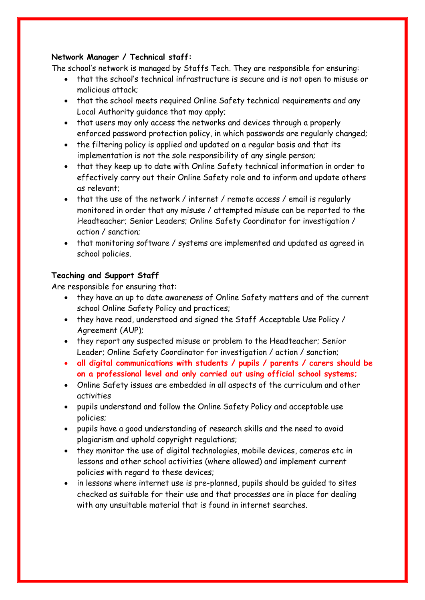# **Network Manager / Technical staff:**

The school's network is managed by Staffs Tech. They are responsible for ensuring:

- that the school's technical infrastructure is secure and is not open to misuse or malicious attack;
- that the school meets required Online Safety technical requirements and any Local Authority guidance that may apply;
- that users may only access the networks and devices through a properly enforced password protection policy, in which passwords are regularly changed;
- the filtering policy is applied and updated on a regular basis and that its implementation is not the sole responsibility of any single person;
- that they keep up to date with Online Safety technical information in order to effectively carry out their Online Safety role and to inform and update others as relevant;
- that the use of the network / internet / remote access / email is regularly monitored in order that any misuse / attempted misuse can be reported to the Headteacher; Senior Leaders; Online Safety Coordinator for investigation / action / sanction;
- that monitoring software / systems are implemented and updated as agreed in school policies.

# **Teaching and Support Staff**

Are responsible for ensuring that:

- they have an up to date awareness of Online Safety matters and of the current school Online Safety Policy and practices;
- they have read, understood and signed the Staff Acceptable Use Policy / Agreement (AUP);
- they report any suspected misuse or problem to the Headteacher; Senior Leader; Online Safety Coordinator for investigation / action / sanction;
- **all digital communications with students / pupils / parents / carers should be on a professional level and only carried out using official school systems;**
- Online Safety issues are embedded in all aspects of the curriculum and other activities
- pupils understand and follow the Online Safety Policy and acceptable use policies;
- pupils have a good understanding of research skills and the need to avoid plagiarism and uphold copyright regulations;
- they monitor the use of digital technologies, mobile devices, cameras etc in lessons and other school activities (where allowed) and implement current policies with regard to these devices;
- in lessons where internet use is pre-planned, pupils should be guided to sites checked as suitable for their use and that processes are in place for dealing with any unsuitable material that is found in internet searches.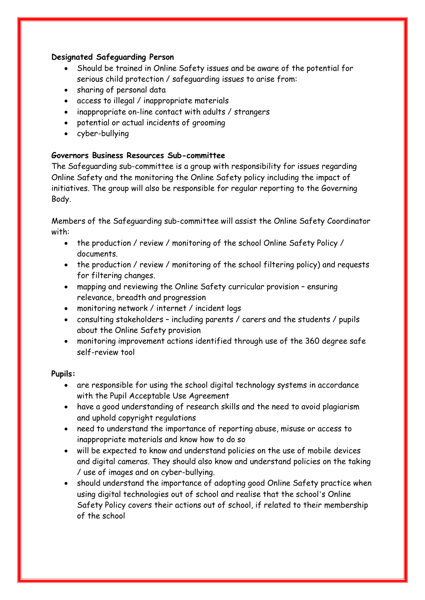# **Designated Safeguarding Person**

- Should be trained in Online Safety issues and be aware of the potential for serious child protection / safeguarding issues to arise from:
- sharing of personal data
- access to illegal / inappropriate materials
- inappropriate on-line contact with adults / strangers
- potential or actual incidents of grooming
- cyber-bullying

# **Governors Business Resources Sub-committee**

The Safeguarding sub-committee is a group with responsibility for issues regarding Online Safety and the monitoring the Online Safety policy including the impact of initiatives. The group will also be responsible for regular reporting to the Governing Body.

Members of the Safeguarding sub-committee will assist the Online Safety Coordinator with:

- the production / review / monitoring of the school Online Safety Policy / documents.
- the production / review / monitoring of the school filtering policy) and requests for filtering changes.
- mapping and reviewing the Online Safety curricular provision ensuring relevance, breadth and progression
- monitoring network / internet / incident logs
- consulting stakeholders including parents / carers and the students / pupils about the Online Safety provision
- monitoring improvement actions identified through use of the 360 degree safe self-review tool

#### **Pupils:**

- are responsible for using the school digital technology systems in accordance with the Pupil Acceptable Use Agreement
- have a good understanding of research skills and the need to avoid plagiarism and uphold copyright regulations
- need to understand the importance of reporting abuse, misuse or access to inappropriate materials and know how to do so
- will be expected to know and understand policies on the use of mobile devices and digital cameras. They should also know and understand policies on the taking / use of images and on cyber-bullying.
- should understand the importance of adopting good Online Safety practice when using digital technologies out of school and realise that the school's Online Safety Policy covers their actions out of school, if related to their membership of the school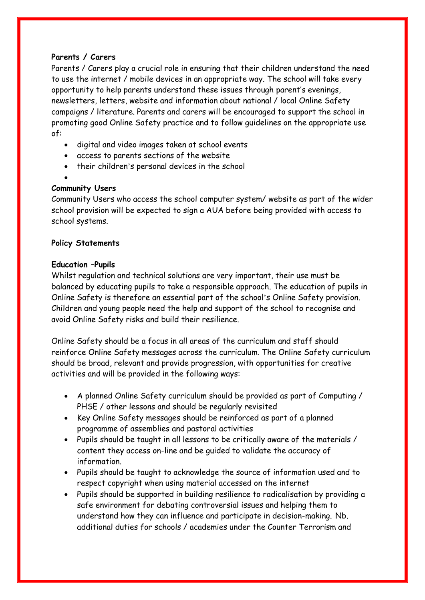# **Parents / Carers**

Parents / Carers play a crucial role in ensuring that their children understand the need to use the internet / mobile devices in an appropriate way. The school will take every opportunity to help parents understand these issues through parent's evenings, newsletters, letters, website and information about national / local Online Safety campaigns / literature. Parents and carers will be encouraged to support the school in promoting good Online Safety practice and to follow guidelines on the appropriate use of:

- digital and video images taken at school events
- access to parents sections of the website
- their children's personal devices in the school
- $\bullet$

# **Community Users**

Community Users who access the school computer system/ website as part of the wider school provision will be expected to sign a AUA before being provided with access to school systems.

# **Policy Statements**

# **Education –Pupils**

Whilst regulation and technical solutions are very important, their use must be balanced by educating pupils to take a responsible approach. The education of pupils in Online Safety is therefore an essential part of the school's Online Safety provision. Children and young people need the help and support of the school to recognise and avoid Online Safety risks and build their resilience.

Online Safety should be a focus in all areas of the curriculum and staff should reinforce Online Safety messages across the curriculum. The Online Safety curriculum should be broad, relevant and provide progression, with opportunities for creative activities and will be provided in the following ways:

- A planned Online Safety curriculum should be provided as part of Computing / PHSE / other lessons and should be regularly revisited
- Key Online Safety messages should be reinforced as part of a planned programme of assemblies and pastoral activities
- Pupils should be taught in all lessons to be critically aware of the materials / content they access on-line and be guided to validate the accuracy of information.
- Pupils should be taught to acknowledge the source of information used and to respect copyright when using material accessed on the internet
- Pupils should be supported in building resilience to radicalisation by providing a safe environment for debating controversial issues and helping them to understand how they can influence and participate in decision-making. Nb. additional duties for schools / academies under the Counter Terrorism and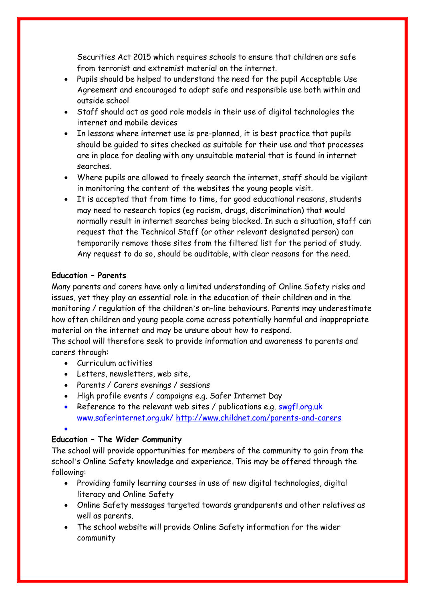Securities Act 2015 which requires schools to ensure that children are safe from terrorist and extremist material on the internet.

- Pupils should be helped to understand the need for the pupil Acceptable Use Agreement and encouraged to adopt safe and responsible use both within and outside school
- Staff should act as good role models in their use of digital technologies the internet and mobile devices
- In lessons where internet use is pre-planned, it is best practice that pupils should be guided to sites checked as suitable for their use and that processes are in place for dealing with any unsuitable material that is found in internet searches.
- Where pupils are allowed to freely search the internet, staff should be vigilant in monitoring the content of the websites the young people visit.
- It is accepted that from time to time, for good educational reasons, students may need to research topics (eg racism, drugs, discrimination) that would normally result in internet searches being blocked. In such a situation, staff can request that the Technical Staff (or other relevant designated person) can temporarily remove those sites from the filtered list for the period of study. Any request to do so, should be auditable, with clear reasons for the need.

# **Education – Parents**

Many parents and carers have only a limited understanding of Online Safety risks and issues, yet they play an essential role in the education of their children and in the monitoring / regulation of the children's on-line behaviours. Parents may underestimate how often children and young people come across potentially harmful and inappropriate material on the internet and may be unsure about how to respond.

The school will therefore seek to provide information and awareness to parents and carers through:

- Curriculum activities
- Letters, newsletters, web site,
- Parents / Carers evenings / sessions
- High profile events / campaigns e.g. Safer Internet Day
- Reference to the relevant web sites / publications e.g. swgfl.org.uk www.saferinternet.org.uk/<http://www.childnet.com/parents-and-carers>

 $\bullet$ 

# **Education – The Wider Community**

The school will provide opportunities for members of the community to gain from the school's Online Safety knowledge and experience. This may be offered through the following:

- Providing family learning courses in use of new digital technologies, digital literacy and Online Safety
- Online Safety messages targeted towards grandparents and other relatives as well as parents.
- The school website will provide Online Safety information for the wider community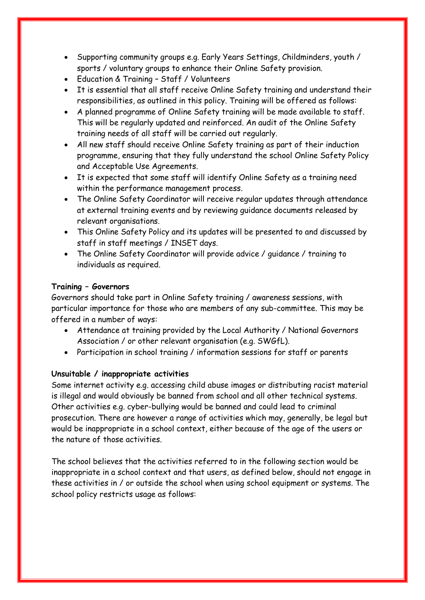- Supporting community groups e.g. Early Years Settings, Childminders, youth / sports / voluntary groups to enhance their Online Safety provision.
- Education & Training Staff / Volunteers
- It is essential that all staff receive Online Safety training and understand their responsibilities, as outlined in this policy. Training will be offered as follows:
- A planned programme of Online Safety training will be made available to staff. This will be regularly updated and reinforced. An audit of the Online Safety training needs of all staff will be carried out regularly.
- All new staff should receive Online Safety training as part of their induction programme, ensuring that they fully understand the school Online Safety Policy and Acceptable Use Agreements.
- It is expected that some staff will identify Online Safety as a training need within the performance management process.
- The Online Safety Coordinator will receive regular updates through attendance at external training events and by reviewing guidance documents released by relevant organisations.
- This Online Safety Policy and its updates will be presented to and discussed by staff in staff meetings / INSET days.
- The Online Safety Coordinator will provide advice / guidance / training to individuals as required.

# **Training – Governors**

Governors should take part in Online Safety training / awareness sessions, with particular importance for those who are members of any sub-committee. This may be offered in a number of ways:

- Attendance at training provided by the Local Authority / National Governors Association / or other relevant organisation (e.g. SWGfL).
- Participation in school training / information sessions for staff or parents

# **Unsuitable / inappropriate activities**

Some internet activity e.g. accessing child abuse images or distributing racist material is illegal and would obviously be banned from school and all other technical systems. Other activities e.g. cyber-bullying would be banned and could lead to criminal prosecution. There are however a range of activities which may, generally, be legal but would be inappropriate in a school context, either because of the age of the users or the nature of those activities.

The school believes that the activities referred to in the following section would be inappropriate in a school context and that users, as defined below, should not engage in these activities in / or outside the school when using school equipment or systems. The school policy restricts usage as follows: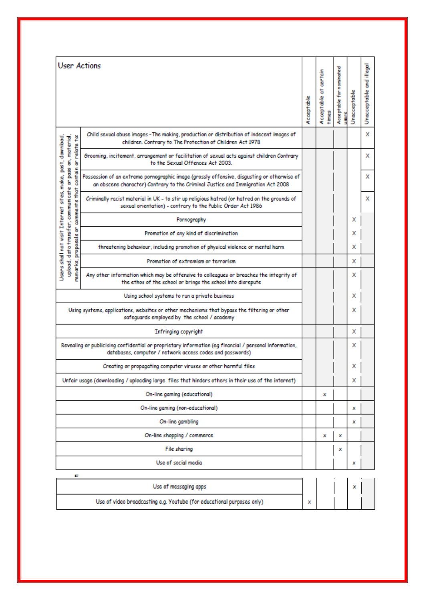| <b>User Actions</b>                                                                                                                                                 |                                                                                                                                                                               |                         | certain                  |              |                          |   |
|---------------------------------------------------------------------------------------------------------------------------------------------------------------------|-------------------------------------------------------------------------------------------------------------------------------------------------------------------------------|-------------------------|--------------------------|--------------|--------------------------|---|
|                                                                                                                                                                     | Acceptable                                                                                                                                                                    | Acceptable at<br>t imes | Acceptable for nominated | Unacceptable | Unacceptable and illegal |   |
| ë                                                                                                                                                                   | Child sexual abuse images - The making, production or distribution of indecent images of<br>children. Contrary to The Protection of Children Act 1978                         |                         |                          |              |                          | x |
| upload, data transfer, communicate or pass on, material,<br>make, post, download,<br>or relate                                                                      | Grooming, incitement, arrangement or facilitation of sexual acts against children Contrary<br>to the Sexual Offences Act 2003.                                                |                         |                          |              |                          | x |
| contain                                                                                                                                                             | Possession of an extreme pornographic image (grossly offensive, disgusting or otherwise of<br>an obscene character) Contrary to the Criminal Justice and Immigration Act 2008 |                         |                          |              |                          | x |
| comme rrt s that<br>sites,                                                                                                                                          | Criminally racist material in UK - to stir up religious hatred (or hatred on the grounds of<br>sexual orientation) - contrary to the Public Order Act 1986                    |                         |                          |              |                          | x |
|                                                                                                                                                                     | Pornography                                                                                                                                                                   |                         |                          |              | x                        |   |
| g                                                                                                                                                                   | Promotion of any kind of discrimination                                                                                                                                       |                         |                          |              | x                        |   |
| proposals                                                                                                                                                           | threatening behaviour, including promotion of physical violence or mental harm                                                                                                |                         |                          |              | x                        |   |
|                                                                                                                                                                     | Users shall not visit Internet<br>Promotion of extremism or terrorism                                                                                                         |                         |                          |              | x                        |   |
|                                                                                                                                                                     | emarks,<br>Any other information which may be offensive to colleagues or breaches the integrity of<br>the ethos of the school or brings the school into disrepute             |                         |                          |              | x                        |   |
|                                                                                                                                                                     | Using school systems to run a private business                                                                                                                                |                         |                          |              | x                        |   |
| Using systems, applications, websites or other mechanisms that bypass the filtering or other<br>safeguards employed by the school / academy                         |                                                                                                                                                                               |                         |                          |              | x                        |   |
| <b>Infringing copyright</b>                                                                                                                                         |                                                                                                                                                                               |                         |                          |              | x                        |   |
| Revealing or publicising confidential or proprietary information (eg financial / personal information,<br>databases, computer / network access codes and passwords) |                                                                                                                                                                               |                         |                          |              | x                        |   |
| Creating or propagating computer viruses or other harmful files                                                                                                     |                                                                                                                                                                               |                         |                          |              | x                        |   |
| Unfair usage (downloading / uploading large files that hinders others in their use of the internet)                                                                 |                                                                                                                                                                               |                         |                          |              | x                        |   |
| On-line gaming (educational)                                                                                                                                        |                                                                                                                                                                               |                         |                          |              |                          |   |
| On-line gaming (non-educational)                                                                                                                                    |                                                                                                                                                                               |                         |                          |              | ×                        |   |
| On-line gambling                                                                                                                                                    |                                                                                                                                                                               |                         |                          |              | ×                        |   |
| On-line shopping / commerce                                                                                                                                         |                                                                                                                                                                               |                         | x                        | x            |                          |   |
| File sharing                                                                                                                                                        |                                                                                                                                                                               |                         |                          | ×            |                          |   |
| Use of social media                                                                                                                                                 |                                                                                                                                                                               |                         |                          |              | x                        |   |
| Е                                                                                                                                                                   |                                                                                                                                                                               |                         |                          |              |                          |   |
| Use of messaging apps                                                                                                                                               |                                                                                                                                                                               |                         |                          |              | ×                        |   |
| Use of video broadcasting e.g. Youtube (for educational purposes only)                                                                                              |                                                                                                                                                                               |                         |                          |              |                          |   |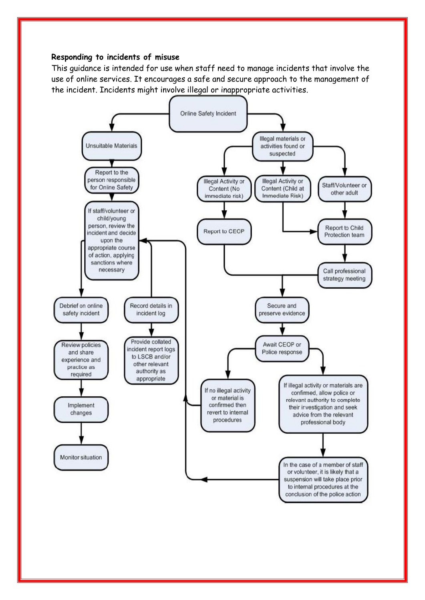# **Responding to incidents of misuse**

This guidance is intended for use when staff need to manage incidents that involve the use of online services. It encourages a safe and secure approach to the management of the incident. Incidents might involve illegal or inappropriate activities.

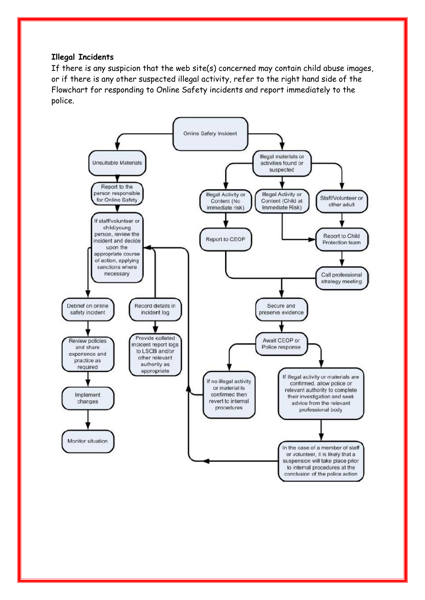## **Illegal Incidents**

If there is any suspicion that the web site(s) concerned may contain child abuse images, or if there is any other suspected illegal activity, refer to the right hand side of the Flowchart for responding to Online Safety incidents and report immediately to the police.

![](_page_9_Figure_2.jpeg)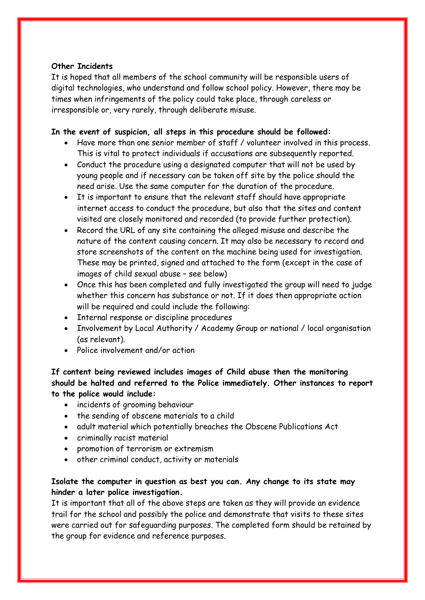## **Other Incidents**

It is hoped that all members of the school community will be responsible users of digital technologies, who understand and follow school policy. However, there may be times when infringements of the policy could take place, through careless or irresponsible or, very rarely, through deliberate misuse.

## **In the event of suspicion, all steps in this procedure should be followed:**

- Have more than one senior member of staff / volunteer involved in this process. This is vital to protect individuals if accusations are subsequently reported.
- Conduct the procedure using a designated computer that will not be used by young people and if necessary can be taken off site by the police should the need arise. Use the same computer for the duration of the procedure.
- It is important to ensure that the relevant staff should have appropriate internet access to conduct the procedure, but also that the sites and content visited are closely monitored and recorded (to provide further protection).
- Record the URL of any site containing the alleged misuse and describe the nature of the content causing concern. It may also be necessary to record and store screenshots of the content on the machine being used for investigation. These may be printed, signed and attached to the form (except in the case of images of child sexual abuse – see below)
- Once this has been completed and fully investigated the group will need to judge whether this concern has substance or not. If it does then appropriate action will be required and could include the following:
- Internal response or discipline procedures
- Involvement by Local Authority / Academy Group or national / local organisation (as relevant).
- Police involvement and/or action

# **If content being reviewed includes images of Child abuse then the monitoring should be halted and referred to the Police immediately. Other instances to report to the police would include:**

- incidents of grooming behaviour
- the sending of obscene materials to a child
- adult material which potentially breaches the Obscene Publications Act
- criminally racist material
- promotion of terrorism or extremism
- other criminal conduct, activity or materials

# **Isolate the computer in question as best you can. Any change to its state may hinder a later police investigation.**

It is important that all of the above steps are taken as they will provide an evidence trail for the school and possibly the police and demonstrate that visits to these sites were carried out for safeguarding purposes. The completed form should be retained by the group for evidence and reference purposes.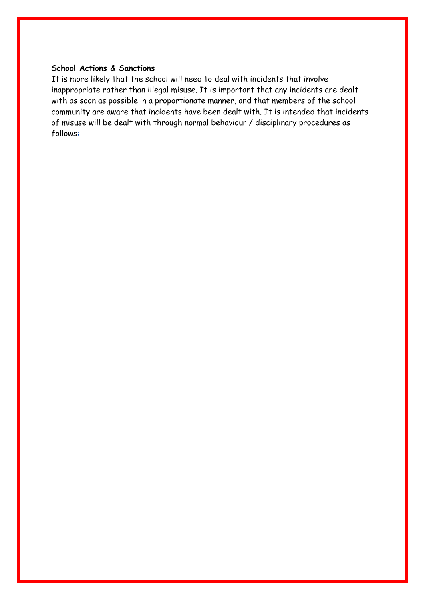# **School Actions & Sanctions**

It is more likely that the school will need to deal with incidents that involve inappropriate rather than illegal misuse. It is important that any incidents are dealt with as soon as possible in a proportionate manner, and that members of the school community are aware that incidents have been dealt with. It is intended that incidents of misuse will be dealt with through normal behaviour / disciplinary procedures as follows: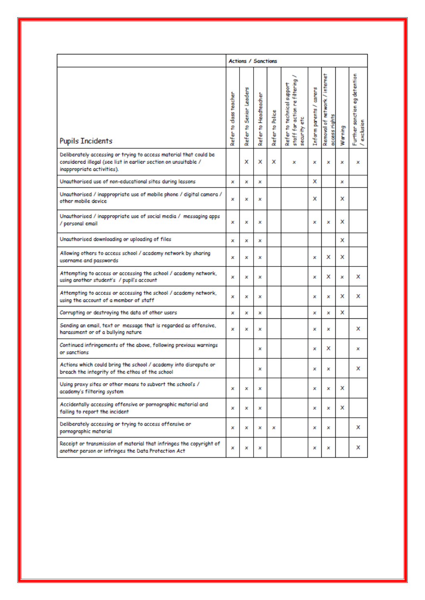|                                                                                                                                                                    | <b>Actions / Sanctions</b> |                         |                      |                 |                                                                            |                         |                                                |         |                                              |
|--------------------------------------------------------------------------------------------------------------------------------------------------------------------|----------------------------|-------------------------|----------------------|-----------------|----------------------------------------------------------------------------|-------------------------|------------------------------------------------|---------|----------------------------------------------|
| <b>Pupils Incidents</b>                                                                                                                                            | Refer to class teacher     | Refer to Senior Leaders | Refer to Headteacher | Refer to Police | staff for action refiltering<br>Refer to technical support<br>security etc | Inform parents / carers | Removal of network / internet<br>access rights | Warning | Further sanction eg detention<br>/ exclusion |
| Deliberately accessing or trying to access material that could be<br>considered illegal (see list in earlier section on unsuitable /<br>inappropriate activities). |                            | x                       | x                    | x               | ×                                                                          | x                       | ×                                              | ×       | ×                                            |
| Unauthorised use of non-educational sites during lessons                                                                                                           | x                          | x                       | x                    |                 |                                                                            | x                       |                                                | x       |                                              |
| Unauthorised / inappropriate use of mobile phone / digital camera /<br>other mobile device                                                                         | x                          | ×                       | x                    |                 |                                                                            | x                       |                                                | x       |                                              |
| Unauthorised / inappropriate use of social media / messaging apps<br>/ personal email                                                                              | ×                          | ×                       | x                    |                 |                                                                            | x                       | ×                                              | x       |                                              |
| Unauthorised downloading or uploading of files                                                                                                                     |                            | ×                       | x                    |                 |                                                                            |                         |                                                | x       |                                              |
| Allowing others to access school / academy network by sharing<br>username and passwords                                                                            |                            | ×                       | x                    |                 |                                                                            | x                       | x                                              | x       |                                              |
| Attempting to access or accessing the school / academy network,<br>using another student's / pupil's account                                                       |                            | ×                       | x                    |                 |                                                                            | ×                       | x                                              | ×       | x                                            |
| Attempting to access or accessing the school / academy network,<br>using the account of a member of staff                                                          |                            | ×                       | x                    |                 |                                                                            | ×                       | ×                                              | x       | x                                            |
| Corrupting or destroying the data of other users                                                                                                                   |                            | ×                       | ×                    |                 |                                                                            | ×                       | ×                                              | x       |                                              |
| Sending an email, text or message that is regarded as offensive,<br>harassment or of a bullying nature                                                             |                            | ×                       | ×                    |                 |                                                                            | x                       | ×                                              |         | x                                            |
| Continued infringements of the above, following previous warnings<br>or sanctions                                                                                  |                            |                         | ×                    |                 |                                                                            | ×                       | x                                              |         | x                                            |
| Actions which could bring the school / academy into disrepute or<br>breach the integrity of the ethos of the school                                                |                            |                         | ×                    |                 |                                                                            | ×                       | ×                                              |         | x                                            |
| Using proxy sites or other means to subvert the school's /<br>academy's filtering system                                                                           |                            | ×                       | ×                    |                 |                                                                            | ×                       | x                                              | x       |                                              |
| Accidentally accessing offensive or pornographic material and<br>failing to report the incident                                                                    |                            | ×                       | x                    |                 |                                                                            | ×                       | ×                                              | x       |                                              |
| Deliberately accessing or trying to access offensive or<br>pornographic material                                                                                   |                            | x                       | x                    | ×               |                                                                            | ×                       | ×                                              |         | x                                            |
| Receipt or transmission of material that infringes the copyright of<br>another person or infringes the Data Protection Act                                         |                            | ×                       | ×                    |                 |                                                                            | ×                       | ×                                              |         | x                                            |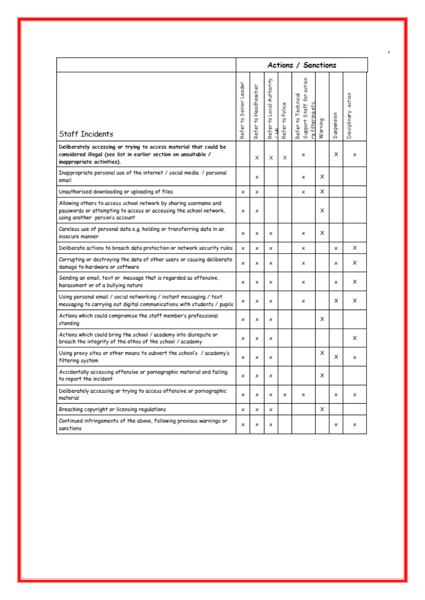|                                                                                                                                                                          | Actions / Sanctions    |                      |                                   |                 |                                                                     |         |                   |                     |
|--------------------------------------------------------------------------------------------------------------------------------------------------------------------------|------------------------|----------------------|-----------------------------------|-----------------|---------------------------------------------------------------------|---------|-------------------|---------------------|
| <b>Staff Incidents</b>                                                                                                                                                   | Refer to Senior Leader | Refer to Headteacher | to Local Authority<br>Refer:<br>۵ | Refer to Police | 호<br>ţ<br>∱ة<br>Refer to Technical<br>Support Staff<br>re filtering | Warning | <b>Suspension</b> | Disciplinary action |
| Deliberately accessing or trying to access material that could be<br>considered illegal (see list in earlier section on unsuitable /<br>inappropriate activities).       |                        | x                    | x                                 | x               | x                                                                   |         | x                 | ×                   |
| Inappropriate personal use of the internet / social media / personal<br>email                                                                                            |                        | ×                    |                                   |                 | x                                                                   | x       |                   |                     |
| Unauthorised downloading or uploading of files                                                                                                                           | x                      | x                    |                                   |                 | ×                                                                   | x       |                   |                     |
| Allowing others to access school network by sharing username and<br>passwords or attempting to access or accessing the school network,<br>using another person's account | ×                      | ×                    |                                   |                 |                                                                     | x       |                   |                     |
| Careless use of personal data e.g. holding or transferring data in an<br>insecure manner                                                                                 | x                      | ×                    | ×                                 |                 | ×                                                                   | x       |                   |                     |
| Deliberate actions to breach data protection or network security rules                                                                                                   |                        | ×                    | ×                                 |                 | ×                                                                   |         | x                 | x                   |
| Corrupting or destroying the data of other users or causing deliberate<br>damage to hardware or software                                                                 |                        | ×                    | ×                                 |                 | x                                                                   |         | x                 | ×                   |
| Sending an email, text or message that is regarded as offensive,<br>harassment or of a bullying nature                                                                   | ×                      | ×                    | ×                                 |                 | x                                                                   |         | ×                 | ×                   |
| Using personal email / social networking / instant messaging / text<br>messaging to carrying out digital communications with students / pupils                           | x                      | ×                    | ×                                 |                 | x                                                                   |         | x                 | x                   |
| Actions which could compromise the staff member's professional<br>standing                                                                                               | x                      | ×                    | ×                                 |                 |                                                                     | x       |                   |                     |
| Actions which could bring the school / academy into disrepute or<br>breach the integrity of the ethos of the school / academy                                            | x                      | ×                    | ×                                 |                 |                                                                     |         |                   | x                   |
| Using proxy sites or other means to subvert the school's / academy's<br>filtering system                                                                                 | x                      | ×                    | ×                                 |                 |                                                                     | x       | x                 | x                   |
| Accidentally accessing offensive or pornographic material and failing<br>to report the incident                                                                          | ×                      | ×                    | ×                                 |                 |                                                                     | x       |                   |                     |
| Deliberately accessing or trying to access offensive or pornographic<br>material                                                                                         | x                      | x                    | x                                 | x               | x                                                                   |         | ×                 | x                   |
| Breaching copyright or licensing regulations                                                                                                                             | x                      | x                    | x                                 |                 |                                                                     | x       |                   |                     |
| Continued infringements of the above, following previous warnings or<br>sanctions                                                                                        | x                      | ×                    | ×                                 |                 |                                                                     |         | x                 | ×                   |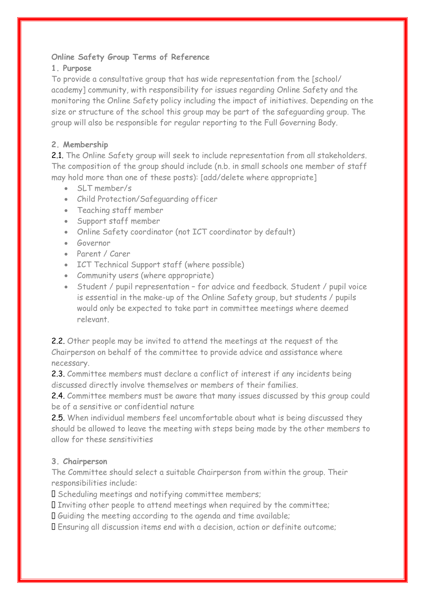# **Online Safety Group Terms of Reference**

# **1. Purpose**

To provide a consultative group that has wide representation from the [school/ academy] community, with responsibility for issues regarding Online Safety and the monitoring the Online Safety policy including the impact of initiatives. Depending on the size or structure of the school this group may be part of the safeguarding group. The group will also be responsible for regular reporting to the Full Governing Body.

# **2. Membership**

2.1. The Online Safety group will seek to include representation from all stakeholders. The composition of the group should include (n.b. in small schools one member of staff may hold more than one of these posts): [add/delete where appropriate]

- SLT member/s
- Child Protection/Safeguarding officer
- Teaching staff member
- Support staff member
- Online Safety coordinator (not ICT coordinator by default)
- **Governor**
- Parent / Carer
- ICT Technical Support staff (where possible)
- Community users (where appropriate)
- Student / pupil representation for advice and feedback. Student / pupil voice is essential in the make-up of the Online Safety group, but students / pupils would only be expected to take part in committee meetings where deemed relevant.

2.2. Other people may be invited to attend the meetings at the request of the Chairperson on behalf of the committee to provide advice and assistance where necessary.

2.3. Committee members must declare a conflict of interest if any incidents being discussed directly involve themselves or members of their families.

2.4. Committee members must be aware that many issues discussed by this group could be of a sensitive or confidential nature

2.5. When individual members feel uncomfortable about what is being discussed they should be allowed to leave the meeting with steps being made by the other members to allow for these sensitivities

# **3. Chairperson**

The Committee should select a suitable Chairperson from within the group. Their responsibilities include:

I Scheduling meetings and notifying committee members;

I Inviting other people to attend meetings when required by the committee;

Guiding the meeting according to the agenda and time available;

Ensuring all discussion items end with a decision, action or definite outcome;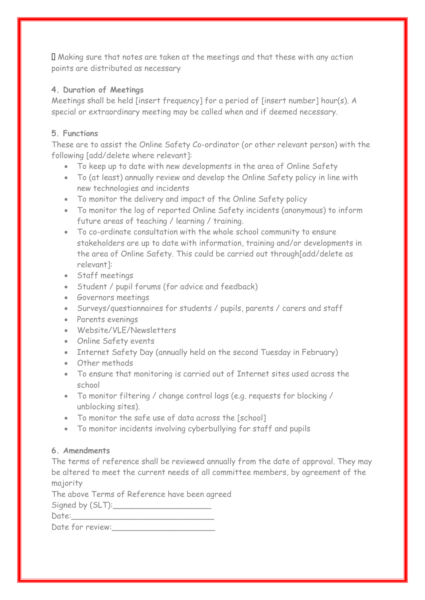Making sure that notes are taken at the meetings and that these with any action points are distributed as necessary

# **4. Duration of Meetings**

Meetings shall be held [insert frequency] for a period of [insert number] hour(s). A special or extraordinary meeting may be called when and if deemed necessary.

# **5. Functions**

These are to assist the Online Safety Co-ordinator (or other relevant person) with the following [add/delete where relevant]:

- To keep up to date with new developments in the area of Online Safety
- To (at least) annually review and develop the Online Safety policy in line with new technologies and incidents
- To monitor the delivery and impact of the Online Safety policy
- To monitor the log of reported Online Safety incidents (anonymous) to inform future areas of teaching / learning / training.
- To co-ordinate consultation with the whole school community to ensure stakeholders are up to date with information, training and/or developments in the area of Online Safety. This could be carried out through[add/delete as relevant]:
- Staff meetings
- Student / pupil forums (for advice and feedback)
- Governors meetings
- Surveys/questionnaires for students / pupils, parents / carers and staff
- Parents evenings
- Website/VLE/Newsletters
- Online Safety events
- Internet Safety Day (annually held on the second Tuesday in February)
- Other methods
- To ensure that monitoring is carried out of Internet sites used across the school
- To monitor filtering / change control logs (e.g. requests for blocking / unblocking sites).
- To monitor the safe use of data across the [school]
- To monitor incidents involving cyberbullying for staff and pupils

# **6. Amendments**

The terms of reference shall be reviewed annually from the date of approval. They may be altered to meet the current needs of all committee members, by agreement of the majority

The above Terms of Reference have been agreed Signed by  $(SLT)$ :

Date:

|  | Date for review: |
|--|------------------|
|  |                  |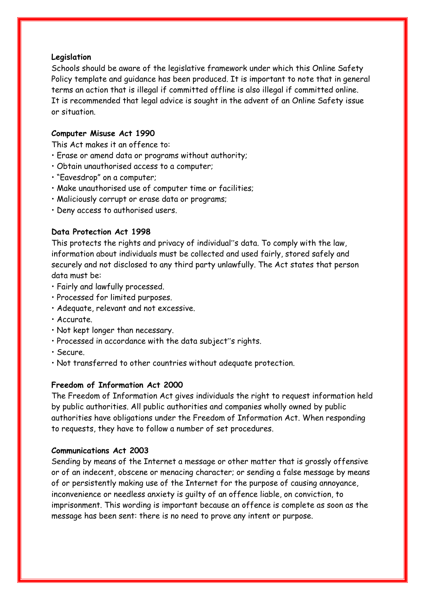#### **Legislation**

Schools should be aware of the legislative framework under which this Online Safety Policy template and guidance has been produced. It is important to note that in general terms an action that is illegal if committed offline is also illegal if committed online. It is recommended that legal advice is sought in the advent of an Online Safety issue or situation.

# **Computer Misuse Act 1990**

This Act makes it an offence to:

- Erase or amend data or programs without authority;
- Obtain unauthorised access to a computer;
- "Eavesdrop" on a computer;
- Make unauthorised use of computer time or facilities;
- Maliciously corrupt or erase data or programs;
- Deny access to authorised users.

## **Data Protection Act 1998**

This protects the rights and privacy of individual"s data. To comply with the law, information about individuals must be collected and used fairly, stored safely and securely and not disclosed to any third party unlawfully. The Act states that person data must be:

- Fairly and lawfully processed.
- Processed for limited purposes.
- Adequate, relevant and not excessive.
- Accurate.
- Not kept longer than necessary.
- Processed in accordance with the data subject"s rights.
- Secure.
- Not transferred to other countries without adequate protection.

# **Freedom of Information Act 2000**

The Freedom of Information Act gives individuals the right to request information held by public authorities. All public authorities and companies wholly owned by public authorities have obligations under the Freedom of Information Act. When responding to requests, they have to follow a number of set procedures.

#### **Communications Act 2003**

Sending by means of the Internet a message or other matter that is grossly offensive or of an indecent, obscene or menacing character; or sending a false message by means of or persistently making use of the Internet for the purpose of causing annoyance, inconvenience or needless anxiety is guilty of an offence liable, on conviction, to imprisonment. This wording is important because an offence is complete as soon as the message has been sent: there is no need to prove any intent or purpose.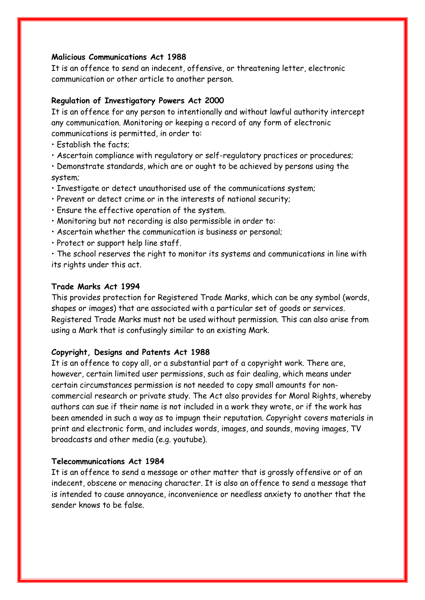#### **Malicious Communications Act 1988**

It is an offence to send an indecent, offensive, or threatening letter, electronic communication or other article to another person.

#### **Regulation of Investigatory Powers Act 2000**

It is an offence for any person to intentionally and without lawful authority intercept any communication. Monitoring or keeping a record of any form of electronic communications is permitted, in order to:

- Establish the facts;
- Ascertain compliance with regulatory or self-regulatory practices or procedures;

• Demonstrate standards, which are or ought to be achieved by persons using the system;

- Investigate or detect unauthorised use of the communications system;
- Prevent or detect crime or in the interests of national security;
- Ensure the effective operation of the system.
- Monitoring but not recording is also permissible in order to:
- Ascertain whether the communication is business or personal;
- Protect or support help line staff.

• The school reserves the right to monitor its systems and communications in line with its rights under this act.

#### **Trade Marks Act 1994**

This provides protection for Registered Trade Marks, which can be any symbol (words, shapes or images) that are associated with a particular set of goods or services. Registered Trade Marks must not be used without permission. This can also arise from using a Mark that is confusingly similar to an existing Mark.

#### **Copyright, Designs and Patents Act 1988**

It is an offence to copy all, or a substantial part of a copyright work. There are, however, certain limited user permissions, such as fair dealing, which means under certain circumstances permission is not needed to copy small amounts for noncommercial research or private study. The Act also provides for Moral Rights, whereby authors can sue if their name is not included in a work they wrote, or if the work has been amended in such a way as to impugn their reputation. Copyright covers materials in print and electronic form, and includes words, images, and sounds, moving images, TV broadcasts and other media (e.g. youtube).

#### **Telecommunications Act 1984**

It is an offence to send a message or other matter that is grossly offensive or of an indecent, obscene or menacing character. It is also an offence to send a message that is intended to cause annoyance, inconvenience or needless anxiety to another that the sender knows to be false.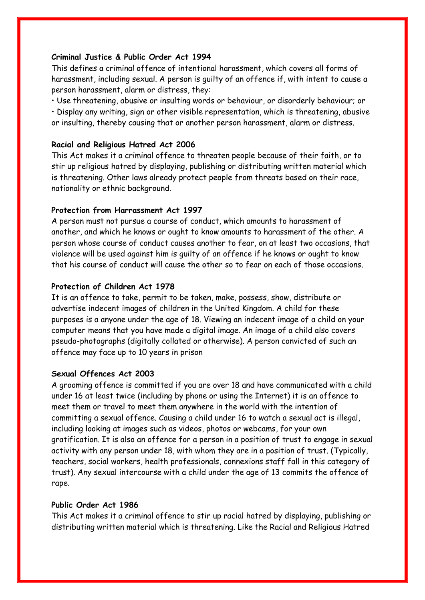#### **Criminal Justice & Public Order Act 1994**

This defines a criminal offence of intentional harassment, which covers all forms of harassment, including sexual. A person is guilty of an offence if, with intent to cause a person harassment, alarm or distress, they:

• Use threatening, abusive or insulting words or behaviour, or disorderly behaviour; or • Display any writing, sign or other visible representation, which is threatening, abusive or insulting, thereby causing that or another person harassment, alarm or distress.

## **Racial and Religious Hatred Act 2006**

This Act makes it a criminal offence to threaten people because of their faith, or to stir up religious hatred by displaying, publishing or distributing written material which is threatening. Other laws already protect people from threats based on their race, nationality or ethnic background.

#### **Protection from Harrassment Act 1997**

A person must not pursue a course of conduct, which amounts to harassment of another, and which he knows or ought to know amounts to harassment of the other. A person whose course of conduct causes another to fear, on at least two occasions, that violence will be used against him is guilty of an offence if he knows or ought to know that his course of conduct will cause the other so to fear on each of those occasions.

## **Protection of Children Act 1978**

It is an offence to take, permit to be taken, make, possess, show, distribute or advertise indecent images of children in the United Kingdom. A child for these purposes is a anyone under the age of 18. Viewing an indecent image of a child on your computer means that you have made a digital image. An image of a child also covers pseudo-photographs (digitally collated or otherwise). A person convicted of such an offence may face up to 10 years in prison

#### **Sexual Offences Act 2003**

A grooming offence is committed if you are over 18 and have communicated with a child under 16 at least twice (including by phone or using the Internet) it is an offence to meet them or travel to meet them anywhere in the world with the intention of committing a sexual offence. Causing a child under 16 to watch a sexual act is illegal, including looking at images such as videos, photos or webcams, for your own gratification. It is also an offence for a person in a position of trust to engage in sexual activity with any person under 18, with whom they are in a position of trust. (Typically, teachers, social workers, health professionals, connexions staff fall in this category of trust). Any sexual intercourse with a child under the age of 13 commits the offence of rape.

#### **Public Order Act 1986**

This Act makes it a criminal offence to stir up racial hatred by displaying, publishing or distributing written material which is threatening. Like the Racial and Religious Hatred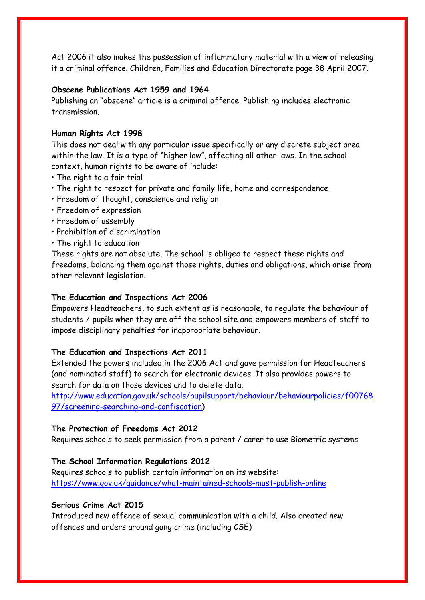Act 2006 it also makes the possession of inflammatory material with a view of releasing it a criminal offence. Children, Families and Education Directorate page 38 April 2007.

## **Obscene Publications Act 1959 and 1964**

Publishing an "obscene" article is a criminal offence. Publishing includes electronic transmission.

#### **Human Rights Act 1998**

This does not deal with any particular issue specifically or any discrete subject area within the law. It is a type of "higher law", affecting all other laws. In the school context, human rights to be aware of include:

- The right to a fair trial
- The right to respect for private and family life, home and correspondence
- Freedom of thought, conscience and religion
- Freedom of expression
- Freedom of assembly
- Prohibition of discrimination
- The right to education

These rights are not absolute. The school is obliged to respect these rights and freedoms, balancing them against those rights, duties and obligations, which arise from other relevant legislation.

## **The Education and Inspections Act 2006**

Empowers Headteachers, to such extent as is reasonable, to regulate the behaviour of students / pupils when they are off the school site and empowers members of staff to impose disciplinary penalties for inappropriate behaviour.

#### **The Education and Inspections Act 2011**

Extended the powers included in the 2006 Act and gave permission for Headteachers (and nominated staff) to search for electronic devices. It also provides powers to search for data on those devices and to delete data.

[http://www.education.gov.uk/schools/pupilsupport/behaviour/behaviourpolicies/f00768](http://www.education.gov.uk/schools/pupilsupport/behaviour/behaviourpolicies/f0076897/screening-searching-and-confiscation) [97/screening-searching-and-confiscation\)](http://www.education.gov.uk/schools/pupilsupport/behaviour/behaviourpolicies/f0076897/screening-searching-and-confiscation)

## **The Protection of Freedoms Act 2012**

Requires schools to seek permission from a parent / carer to use Biometric systems

#### **The School Information Regulations 2012**

Requires schools to publish certain information on its website: <https://www.gov.uk/guidance/what-maintained-schools-must-publish-online>

# **Serious Crime Act 2015**

Introduced new offence of sexual communication with a child. Also created new offences and orders around gang crime (including CSE)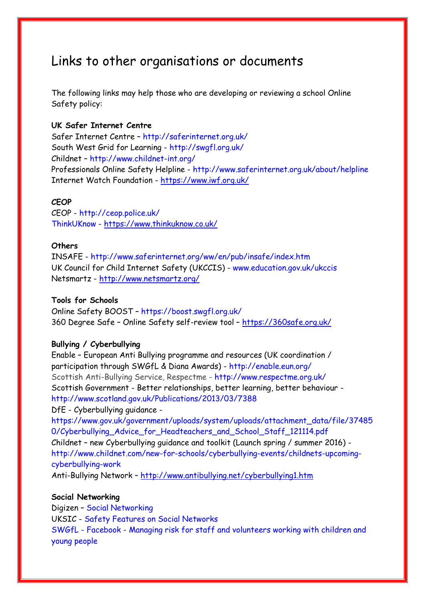# Links to other organisations or documents

The following links may help those who are developing or reviewing a school Online Safety policy:

# **UK Safer Internet Centre**

Safer Internet Centre – http://saferinternet.org.uk/ South West Grid for Learning - http://swgfl.org.uk/ Childnet – http://www.childnet-int.org/ Professionals Online Safety Helpline - http://www.saferinternet.org.uk/about/helpline Internet Watch Foundation - <https://www.iwf.org.uk/>

# **CEOP**

CEOP - http://ceop.police.uk/ ThinkUKnow - <https://www.thinkuknow.co.uk/>

## **Others**

INSAFE - http://www.saferinternet.org/ww/en/pub/insafe/index.htm UK Council for Child Internet Safety (UKCCIS) - www.education.gov.uk/ukccis Netsmartz - <http://www.netsmartz.org/>

## **Tools for Schools**

Online Safety BOOST – https://boost.swgfl.org.uk/ 360 Degree Safe – Online Safety self-review tool – <https://360safe.org.uk/>

# **Bullying / Cyberbullying**

Enable – European Anti Bullying programme and resources (UK coordination / participation through SWGfL & Diana Awards) - http://enable.eun.org/ Scottish Anti-Bullying Service, Respectme - http://www.respectme.org.uk/ Scottish Government - Better relationships, better learning, better behaviour http://www.scotland.gov.uk/Publications/2013/03/7388 DfE - Cyberbullying guidance -

https://www.gov.uk/government/uploads/system/uploads/attachment\_data/file/37485 0/Cyberbullying\_Advice\_for\_Headteachers\_and\_School\_Staff\_121114.pdf Childnet – new Cyberbullying guidance and toolkit (Launch spring / summer 2016) http://www.childnet.com/new-for-schools/cyberbullying-events/childnets-upcomingcyberbullying-work

Anti-Bullying Network – <http://www.antibullying.net/cyberbullying1.htm>

# **Social Networking**

Digizen – Social Networking

UKSIC - Safety Features on Social Networks

SWGfL - Facebook - Managing risk for staff and volunteers working with children and young people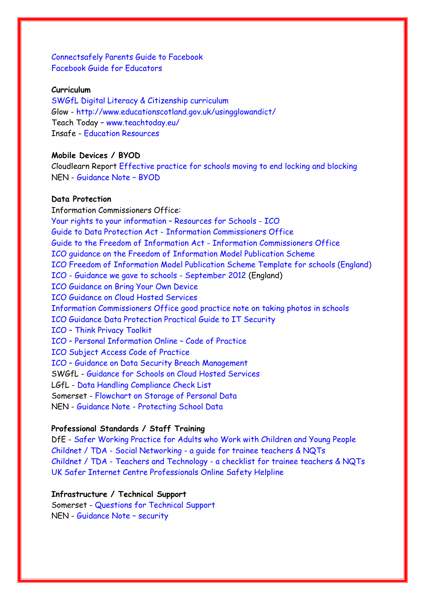Connectsafely Parents Guide to Facebook Facebook Guide for Educators

## **Curriculum**

SWGfL Digital Literacy & Citizenship curriculum Glow - http://www.educationscotland.gov.uk/usingglowandict/ Teach Today – www.teachtoday.eu/ Insafe - Education Resources

# **Mobile Devices / BYOD**

Cloudlearn Report Effective practice for schools moving to end locking and blocking NEN - Guidance Note – BYOD

# **Data Protection**

Information Commissioners Office: Your rights to your information – Resources for Schools - ICO Guide to Data Protection Act - Information Commissioners Office Guide to the Freedom of Information Act - Information Commissioners Office ICO guidance on the Freedom of Information Model Publication Scheme ICO Freedom of Information Model Publication Scheme Template for schools (England) ICO - Guidance we gave to schools - September 2012 (England) ICO Guidance on Bring Your Own Device ICO Guidance on Cloud Hosted Services Information Commissioners Office good practice note on taking photos in schools ICO Guidance Data Protection Practical Guide to IT Security ICO – Think Privacy Toolkit ICO – Personal Information Online – Code of Practice ICO Subject Access Code of Practice ICO – Guidance on Data Security Breach Management SWGfL - Guidance for Schools on Cloud Hosted Services LGfL - Data Handling Compliance Check List Somerset - Flowchart on Storage of Personal Data NEN - Guidance Note - Protecting School Data

#### **Professional Standards / Staff Training**

DfE - Safer Working Practice for Adults who Work with Children and Young People Childnet / TDA - Social Networking - a guide for trainee teachers & NQTs Childnet / TDA - Teachers and Technology - a checklist for trainee teachers & NQTs UK Safer Internet Centre Professionals Online Safety Helpline

#### **Infrastructure / Technical Support**

Somerset - Questions for Technical Support NEN - Guidance Note – security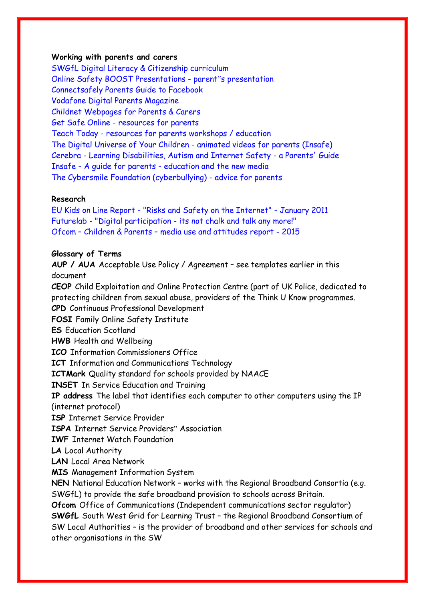#### **Working with parents and carers**

SWGfL Digital Literacy & Citizenship curriculum Online Safety BOOST Presentations - parent"s presentation Connectsafely Parents Guide to Facebook Vodafone Digital Parents Magazine Childnet Webpages for Parents & Carers Get Safe Online - resources for parents Teach Today - resources for parents workshops / education The Digital Universe of Your Children - animated videos for parents (Insafe) Cerebra - Learning Disabilities, Autism and Internet Safety - a Parents' Guide Insafe - A guide for parents - education and the new media The Cybersmile Foundation (cyberbullying) - advice for parents

## **Research**

EU Kids on Line Report - "Risks and Safety on the Internet" - January 2011 Futurelab - "Digital participation - its not chalk and talk any more!" Ofcom – Children & Parents – media use and attitudes report - 2015

#### **Glossary of Terms**

**AUP / AUA** Acceptable Use Policy / Agreement – see templates earlier in this document **CEOP** Child Exploitation and Online Protection Centre (part of UK Police, dedicated to protecting children from sexual abuse, providers of the Think U Know programmes. **CPD** Continuous Professional Development **FOSI** Family Online Safety Institute **ES** Education Scotland **HWB** Health and Wellbeing **ICO** Information Commissioners Office **ICT** Information and Communications Technology **ICTMark** Quality standard for schools provided by NAACE **INSET** In Service Education and Training **IP address** The label that identifies each computer to other computers using the IP (internet protocol) **ISP** Internet Service Provider **ISPA** Internet Service Providers" Association **IWF** Internet Watch Foundation **LA** Local Authority **LAN** Local Area Network **MIS** Management Information System **NEN** National Education Network – works with the Regional Broadband Consortia (e.g. SWGfL) to provide the safe broadband provision to schools across Britain. **Ofcom** Office of Communications (Independent communications sector regulator) **SWGfL** South West Grid for Learning Trust – the Regional Broadband Consortium of SW Local Authorities – is the provider of broadband and other services for schools and other organisations in the SW